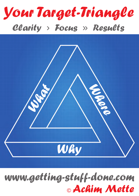



# *www.getting-stuff-done.com* © *Achim Mette*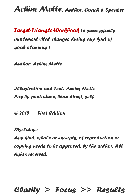*Target-Triangle-Workbook to successfully implement vital changes during any kind of goal-planning !* 

*Author: Achim Mette* 

*Illustration and Text: Achim Mette Pics by photodune, blau direkt, self* 

*© 2015 First Edition* 

*Disclaimer* 

*Any kind, whole or excerpts, of reproduction or copying needs to be approved, by the author. All rights reserved.*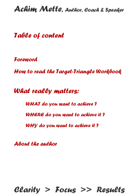*Table of content*

*[Foreword](#page-3-0)*

*[How to read the Target-Triangle Workbook](#page-4-0)*

*What really matters:*

*[WHAT do you want to achieve ?](#page-5-0) [WHERE do you want to achieve it ?](#page-8-0) [WHY do you want to achieve it ?](#page-11-0)*

*[About the author](#page-16-0)*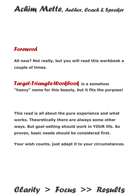#### <span id="page-3-0"></span>*Foreword*

**All new? Not really, but you will read this workbook a couple of times.** 

*Target-Triangle-Workbook* **is a somehow "heavy" name for this beauty, but it fits the purpose!** 

**This read is all about the pure experience and what works. Theoretically there are always some other ways. But goal-setting should work in YOUR life. So proven, basic needs should be considered first.** 

**Your wish counts, just adapt it to your circumstances.**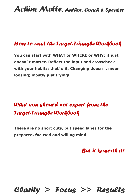### <span id="page-4-0"></span>*How to read the Target-Triangle Workbook*

**You can start with WHAT or WHERE or WHY; it just doesn´t matter. Reflect the input and crosscheck with your habits; that´s it. Changing doesn´t mean loosing; mostly just trying!** 

### *What you should not expect from the Target-Triangle Workbook*

**There are no short cuts, but speed lanes for the prepared, focused and willing mind.** 

*But it is worth it!*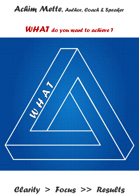## <span id="page-5-0"></span>*WHAT do you want to achieve ?*

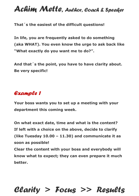**That´s the easiest of the difficult questions!** 

**In life, you are frequently asked to do something (aka WHAT). You even know the urge to ask back like "What exactly do you want me to do?".** 

**And that´s the point, you have to have clarity about. Be very specific!**

#### *Example 1*

**Your boss wants you to set up a meeting with your department this coming week.** 

**On what exact date, time and what is the content? If left with a choice on the above, decide to clarify (like Tuesday 10.00 – 11.30) and communicate it as soon as possible! Clear the content with your boss and everybody will** 

**know what to expect; they can even prepare it much better.**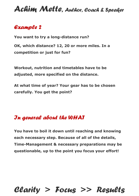#### *Example 2*

**You want to try a long-distance run?** 

**OK, which distance? 12, 20 or more miles. In a competition or just for fun?** 

**Workout, nutrition and timetables have to be adjusted, more specified on the distance.** 

**At what time of year? Your gear has to be chosen carefully. You get the point?**

#### *In general about the WHAT*

**You have to boil it down until reaching and knowing each necessary step. Because of all of the details, Time-Management & necessary preparations may be questionable, up to the point you focus your effort!**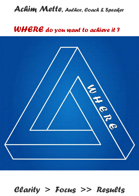### <span id="page-8-0"></span>*WHERE do you want to achieve it ?*

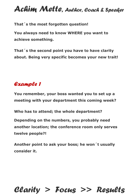**That´s the most forgotten question!** 

**You always need to know WHERE you want to achieve something.** 

**That´s the second point you have to have clarity about. Being very specific becomes your new trait!** 

#### *Example 1*

**You remember, your boss wanted you to set up a meeting with your department this coming week?** 

**Who has to attend; the whole department?** 

**Depending on the numbers, you probably need another location; the conference room only serves twelve people?!** 

**Another point to ask your boss; he won´t usually consider it.**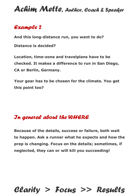#### *Example 2*

**And this long-distance run, you want to do?** 

**Distance is decided?** 

**Location, time-zone and travelplans have to be checked. It makes a difference to run in San Diego, CA or Berlin, Germany.** 

**Your gear has to be chosen for the climate. You get this point too?** 

#### *In general about the WHERE*

**Because of the details, success or failure, both wait to happen. Ask a runner what he expects and how the prep is changing. Focus on the details; sometimes, if neglected, they can or will kill you succeeding!**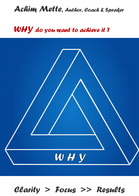### <span id="page-11-0"></span>*WHY do you want to achieve it ?*

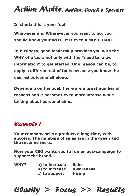**In short: this is your fuel!** 

**What-ever and Where-ever you want to go, you should know your WHY. It is even a MUST-HAVE.** 

**In business, good leadership provides you with the WHY of a task; not only with the "need to know information" to get started. One reason can be, to apply a different set of tools because you know the desired outcome all along.** 

**Depending on the goal, there are a great number of reasons and it becomes even more intense while talking about personal aims.** 

#### *Example 1*

**Your company sells a product, a long time, with success. The numbers of sales are in the green and the revenue rocks.** 

**Now your CEO wants you to run an ads-campaign to support the brand.** 

| <b>WHY?</b> | a) to increase | <b>Sales</b>     |
|-------------|----------------|------------------|
|             | b) to increase | <b>Awareness</b> |
|             | c) to support  | <b>Hiring</b>    |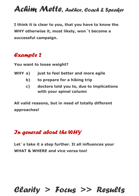**I think it is clear to you, that you have to know the WHY otherwise it, most likely, won´t become a successful campaign.** 

#### *Example 2*

**You want to loose weight?** 

- **WHY a) just to feel better and more agile** 
	- **b) to prepare for a hiking trip**
	- **c) doctors told you to, due to implications with your spinal column**

**All valid reasons, but in need of totally different approaches!** 

### *In general about the WHY*

**Let´s take it a step further. It all influences your WHAT & WHERE and vice versa too!**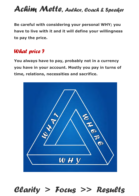**Be careful with considering your personal WHY; you have to live with it and it will define your willingness to pay the price.** 

#### *What price ?*

**You always have to pay, probably not in a currency you have in your account. Mostly you pay in turns of time, relations, necessities and sacrifice.** 

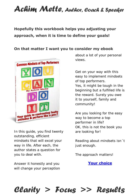#### **Hopefully this workbook helps you adjusting your approach, when it is time to define your goals!**

#### **On that matter I want you to consider my ebook**



In this guide, you find twenty outstanding, efficient mindsets that will excel your way in life. After each, the author states a question for you to deal with.

Answer it honestly and you will change your perception about a lot of your personal views.

Get on your way with this easy to implement mindsets of top performers. Yes, it might be tough in the beginning but a fulfilled life is the reward. Surely you owe it to yourself, family and community!

Are you looking for the easy way to become a top performer in life? OK, this is not the book you are looking for!

Reading about mindsets isn´t just enough.

The approach matters!

**[Your choice](http://www.commonmindsets.com/)**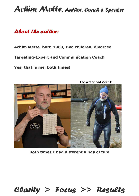#### <span id="page-16-0"></span>*About the author:*

**Achim Mette, born 1963, two children, divorced** 

**Targeting-Expert and Communication Coach** 

**Yes, that´s me, both times!** 



**Both times I had different kinds of fun!**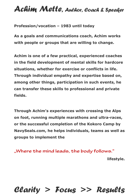**Profession/vocation – 1983 until today** 

**As a goals and communications coach, Achim works with people or groups that are willing to change.** 

**Achim is one of a few practical, experienced coaches in the field development of mental skills for hardcore situations, whether for exercise or conflicts in life. Through individual empathy and expertise based on, among other things, participation in such events, he can transfer these skills to professional and private fields.** 

**Through Achim's experiences with crossing the Alps on foot, running multiple marathons and ultra-races, or the successful completion of the Kokoro Camp by NavySeals.com, he helps individuals, teams as well as groups to implement the** 

"Where the mind leads, the body follows." **lifestyle.**